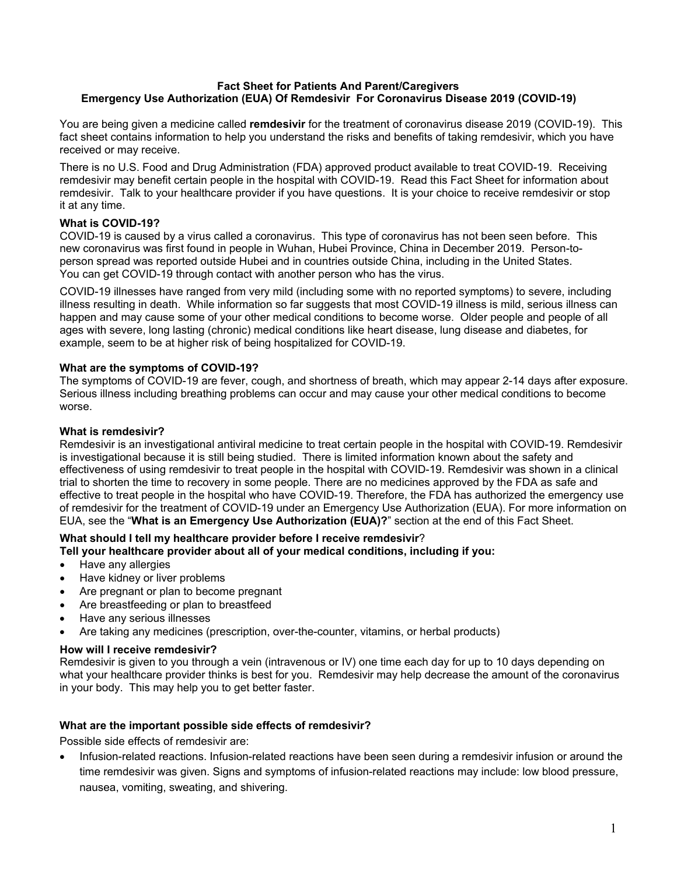#### **Fact Sheet for Patients And Parent/Caregivers Emergency Use Authorization (EUA) Of Remdesivir For Coronavirus Disease 2019 (COVID-19)**

You are being given a medicine called **remdesivir** for the treatment of coronavirus disease 2019 (COVID-19). This fact sheet contains information to help you understand the risks and benefits of taking remdesivir, which you have received or may receive.

There is no U.S. Food and Drug Administration (FDA) approved product available to treat COVID-19. Receiving remdesivir may benefit certain people in the hospital with COVID-19. Read this Fact Sheet for information about remdesivir. Talk to your healthcare provider if you have questions. It is your choice to receive remdesivir or stop it at any time.

## **What is COVID-19?**

COVID-19 is caused by a virus called a coronavirus. This type of coronavirus has not been seen before. This new coronavirus was first found in people in Wuhan, Hubei Province, China in December 2019. Person-toperson spread was reported outside Hubei and in countries outside China, including in the United States. You can get COVID-19 through contact with another person who has the virus.

COVID-19 illnesses have ranged from very mild (including some with no reported symptoms) to severe, including illness resulting in death. While information so far suggests that most COVID-19 illness is mild, serious illness can happen and may cause some of your other medical conditions to become worse. Older people and people of all ages with severe, long lasting (chronic) medical conditions like heart disease, lung disease and diabetes, for example, seem to be at higher risk of being hospitalized for COVID-19.

## **What are the symptoms of COVID-19?**

The symptoms of COVID-19 are fever, cough, and shortness of breath, which may appear 2-14 days after exposure. Serious illness including breathing problems can occur and may cause your other medical conditions to become worse.

## **What is remdesivir?**

Remdesivir is an investigational antiviral medicine to treat certain people in the hospital with COVID-19. Remdesivir is investigational because it is still being studied. There is limited information known about the safety and effectiveness of using remdesivir to treat people in the hospital with COVID-19. Remdesivir was shown in a clinical trial to shorten the time to recovery in some people. There are no medicines approved by the FDA as safe and effective to treat people in the hospital who have COVID-19. Therefore, the FDA has authorized the emergency use of remdesivir for the treatment of COVID-19 under an Emergency Use Authorization (EUA). For more information on EUA, see the "**What is an Emergency Use Authorization (EUA)?**" section at the end of this Fact Sheet.

# **What should I tell my healthcare provider before I receive remdesivir**?

**Tell your healthcare provider about all of your medical conditions, including if you:**

- Have any allergies
- Have kidney or liver problems
- Are pregnant or plan to become pregnant
- Are breastfeeding or plan to breastfeed
- Have any serious illnesses
- Are taking any medicines (prescription, over-the-counter, vitamins, or herbal products)

## **How will I receive remdesivir?**

Remdesivir is given to you through a vein (intravenous or IV) one time each day for up to 10 days depending on what your healthcare provider thinks is best for you. Remdesivir may help decrease the amount of the coronavirus in your body. This may help you to get better faster.

## **What are the important possible side effects of remdesivir?**

Possible side effects of remdesivir are:

• Infusion-related reactions. Infusion-related reactions have been seen during a remdesivir infusion or around the time remdesivir was given. Signs and symptoms of infusion-related reactions may include: low blood pressure, nausea, vomiting, sweating, and shivering.